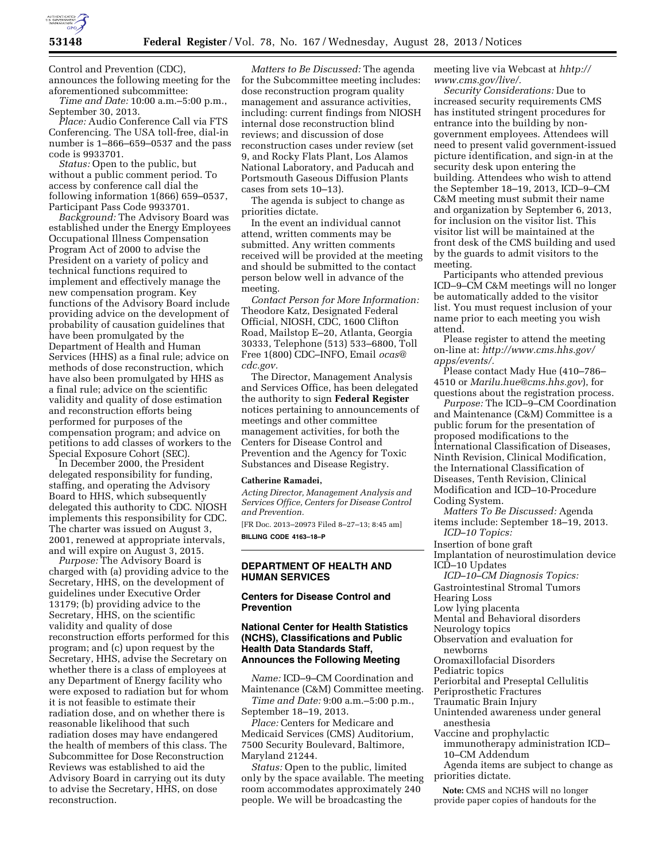

Control and Prevention (CDC), announces the following meeting for the aforementioned subcommittee:

*Time and Date:* 10:00 a.m.–5:00 p.m., September 30, 2013.

*Place:* Audio Conference Call via FTS Conferencing. The USA toll-free, dial-in number is 1–866–659–0537 and the pass code is 9933701.

*Status:* Open to the public, but without a public comment period. To access by conference call dial the following information 1(866) 659–0537, Participant Pass Code 9933701.

*Background:* The Advisory Board was established under the Energy Employees Occupational Illness Compensation Program Act of 2000 to advise the President on a variety of policy and technical functions required to implement and effectively manage the new compensation program. Key functions of the Advisory Board include providing advice on the development of probability of causation guidelines that have been promulgated by the Department of Health and Human Services (HHS) as a final rule; advice on methods of dose reconstruction, which have also been promulgated by HHS as a final rule; advice on the scientific validity and quality of dose estimation and reconstruction efforts being performed for purposes of the compensation program; and advice on petitions to add classes of workers to the Special Exposure Cohort (SEC).

In December 2000, the President delegated responsibility for funding, staffing, and operating the Advisory Board to HHS, which subsequently delegated this authority to CDC. NIOSH implements this responsibility for CDC. The charter was issued on August 3, 2001, renewed at appropriate intervals, and will expire on August 3, 2015.

*Purpose:* The Advisory Board is charged with (a) providing advice to the Secretary, HHS, on the development of guidelines under Executive Order 13179; (b) providing advice to the Secretary, HHS, on the scientific validity and quality of dose reconstruction efforts performed for this program; and (c) upon request by the Secretary, HHS, advise the Secretary on whether there is a class of employees at any Department of Energy facility who were exposed to radiation but for whom it is not feasible to estimate their radiation dose, and on whether there is reasonable likelihood that such radiation doses may have endangered the health of members of this class. The Subcommittee for Dose Reconstruction Reviews was established to aid the Advisory Board in carrying out its duty to advise the Secretary, HHS, on dose reconstruction.

*Matters to Be Discussed:* The agenda for the Subcommittee meeting includes: dose reconstruction program quality management and assurance activities, including: current findings from NIOSH internal dose reconstruction blind reviews; and discussion of dose reconstruction cases under review (set 9, and Rocky Flats Plant, Los Alamos National Laboratory, and Paducah and Portsmouth Gaseous Diffusion Plants cases from sets 10–13).

The agenda is subject to change as priorities dictate.

In the event an individual cannot attend, written comments may be submitted. Any written comments received will be provided at the meeting and should be submitted to the contact person below well in advance of the meeting.

*Contact Person for More Information:*  Theodore Katz, Designated Federal Official, NIOSH, CDC, 1600 Clifton Road, Mailstop E–20, Atlanta, Georgia 30333, Telephone (513) 533–6800, Toll Free 1(800) CDC–INFO, Email *[ocas@](mailto:ocas@cdc.gov) [cdc.gov.](mailto:ocas@cdc.gov)* 

The Director, Management Analysis and Services Office, has been delegated the authority to sign **Federal Register**  notices pertaining to announcements of meetings and other committee management activities, for both the Centers for Disease Control and Prevention and the Agency for Toxic Substances and Disease Registry.

#### **Catherine Ramadei,**

*Acting Director, Management Analysis and Services Office, Centers for Disease Control and Prevention.* 

[FR Doc. 2013–20973 Filed 8–27–13; 8:45 am] **BILLING CODE 4163–18–P** 

## **DEPARTMENT OF HEALTH AND HUMAN SERVICES**

# **Centers for Disease Control and Prevention**

## **National Center for Health Statistics (NCHS), Classifications and Public Health Data Standards Staff, Announces the Following Meeting**

*Name:* ICD–9–CM Coordination and Maintenance (C&M) Committee meeting. *Time and Date:* 9:00 a.m.–5:00 p.m.,

September 18–19, 2013. *Place:* Centers for Medicare and

Medicaid Services (CMS) Auditorium, 7500 Security Boulevard, Baltimore, Maryland 21244.

*Status:* Open to the public, limited only by the space available. The meeting room accommodates approximately 240 people. We will be broadcasting the

meeting live via Webcast at *hhtp:// [www.cms.gov/live/.](http://www.cms.gov/live/)* 

*Security Considerations:* Due to increased security requirements CMS has instituted stringent procedures for entrance into the building by nongovernment employees. Attendees will need to present valid government-issued picture identification, and sign-in at the security desk upon entering the building. Attendees who wish to attend the September 18–19, 2013, ICD–9–CM C&M meeting must submit their name and organization by September 6, 2013, for inclusion on the visitor list. This visitor list will be maintained at the front desk of the CMS building and used by the guards to admit visitors to the meeting.

Participants who attended previous ICD–9–CM C&M meetings will no longer be automatically added to the visitor list. You must request inclusion of your name prior to each meeting you wish attend.

Please register to attend the meeting on-line at: *[http://www.cms.hhs.gov/](http://www.cms.hhs.gov/apps/events/) [apps/events/.](http://www.cms.hhs.gov/apps/events/)* 

Please contact Mady Hue (410–786– 4510 or *[Marilu.hue@cms.hhs.gov](mailto:Marilu.hue@cms.hhs.gov)*), for questions about the registration process.

*Purpose:* The ICD–9–CM Coordination and Maintenance (C&M) Committee is a public forum for the presentation of proposed modifications to the International Classification of Diseases, Ninth Revision, Clinical Modification, the International Classification of Diseases, Tenth Revision, Clinical Modification and ICD–10-Procedure Coding System.

*Matters To Be Discussed:* Agenda items include: September 18–19, 2013.

*ICD–10 Topics:* 

Insertion of bone graft Implantation of neurostimulation device ICD–10 Updates

- *ICD–10–CM Diagnosis Topics:*  Gastrointestinal Stromal Tumors
- 

Hearing Loss

Low lying placenta

Mental and Behavioral disorders Neurology topics

Observation and evaluation for newborns

Oromaxillofacial Disorders

Pediatric topics

Periorbital and Preseptal Cellulitis

- Periprosthetic Fractures
- Traumatic Brain Injury

Unintended awareness under general anesthesia

Vaccine and prophylactic

immunotherapy administration ICD– 10–CM Addendum

Agenda items are subject to change as priorities dictate.

**Note:** CMS and NCHS will no longer provide paper copies of handouts for the